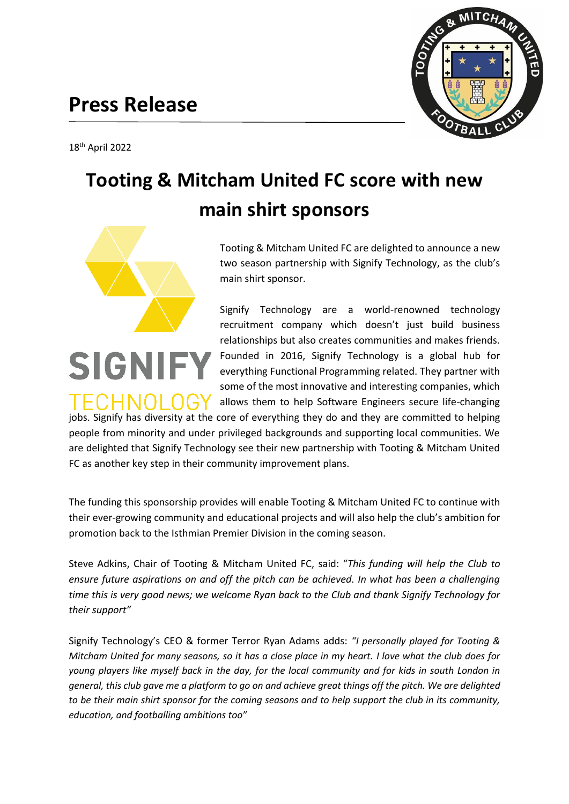## **Press Release**



# **MITCH**

# **Tooting & Mitcham United FC score with new main shirt sponsors**



SIGNII

Tooting & Mitcham United FC are delighted to announce a new two season partnership with Signify Technology, as the club's main shirt sponsor.

Signify Technology are a world-renowned technology recruitment company which doesn't just build business relationships but also creates communities and makes friends. Founded in 2016, Signify Technology is a global hub for everything Functional Programming related. They partner with some of the most innovative and interesting companies, which allows them to help Software Engineers secure life-changing

TECHNOLO jobs. Signify has diversity at the core of everything they do and they are committed to helping people from minority and under privileged backgrounds and supporting local communities. We are delighted that Signify Technology see their new partnership with Tooting & Mitcham United FC as another key step in their community improvement plans.

The funding this sponsorship provides will enable Tooting & Mitcham United FC to continue with their ever-growing community and educational projects and will also help the club's ambition for promotion back to the Isthmian Premier Division in the coming season.

Steve Adkins, Chair of Tooting & Mitcham United FC, said: "*This funding will help the Club to ensure future aspirations on and off the pitch can be achieved. In what has been a challenging time this is very good news; we welcome Ryan back to the Club and thank Signify Technology for their support"*

Signify Technology's CEO & former Terror Ryan Adams adds: *"I personally played for Tooting & Mitcham United for many seasons, so it has a close place in my heart. I love what the club does for young players like myself back in the day, for the local community and for kids in south London in general, this club gave me a platform to go on and achieve great things off the pitch. We are delighted to be their main shirt sponsor for the coming seasons and to help support the club in its community, education, and footballing ambitions too"*